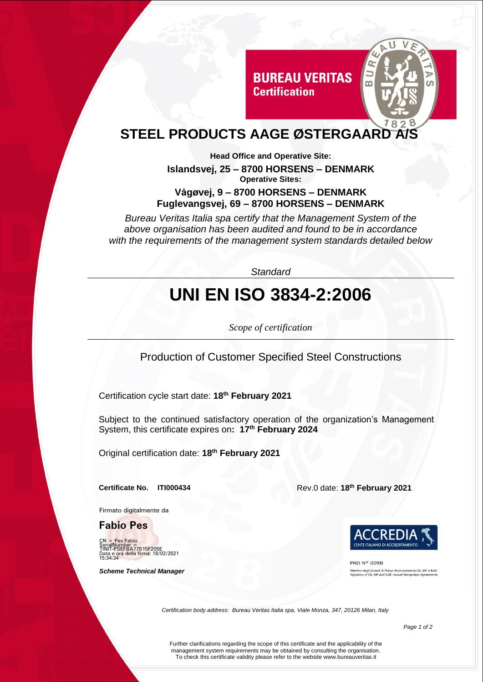

## **STEEL PRODUCTS AAGE ØSTERGAARD**

**Head Office and Operative Site: Islandsvej, 25 – 8700 HORSENS – DENMARK Operative Sites:**

**Certification** 

#### **Vȧgøvej, 9 – 8700 HORSENS – DENMARK Fuglevangsvej, 69 – 8700 HORSENS – DENMARK**

*Bureau Veritas Italia spa certify that the Management System of the above organisation has been audited and found to be in accordance with the requirements of the management system standards detailed below*

*Standard*

# **UNI EN ISO 3834-2:2006**

*Scope of certification*

Production of Customer Specified Steel Constructions

Certification cycle start date: **18th February 2021**

Subject to the continued satisfactory operation of the organization's Management System, this certificate expires on**: 17th February 2024**

Original certification date: **18 th February 2021**

Firmato digitalmente da

**Fabio Pes**

e Fabio SerialNumber =<br>TINIT-PSEFBA77S15F205E<br>Data e ora della firma: 18/02/2021<br>15:34:34

 *Scheme Technical Manager*

**Certificate No. ITI000434** Rev.0 date: **18th February 2021**



PRD Nº 009B dimento EA, IAF e ILAC<br>secondina Appropriato mbro degli Accordi di Mutuo Riconoso<br>natory of EA, IAF and ILAC mutual Re

*Certification body address: Bureau Veritas Italia spa, Viale Monza, 347, 20126 Milan, Italy*

Further clarifications regarding the scope of this certificate and the applicability of the management system requirements may be obtained by consulting the organisation. To check this certificate validity please refer to the website www.bureauveritas.it